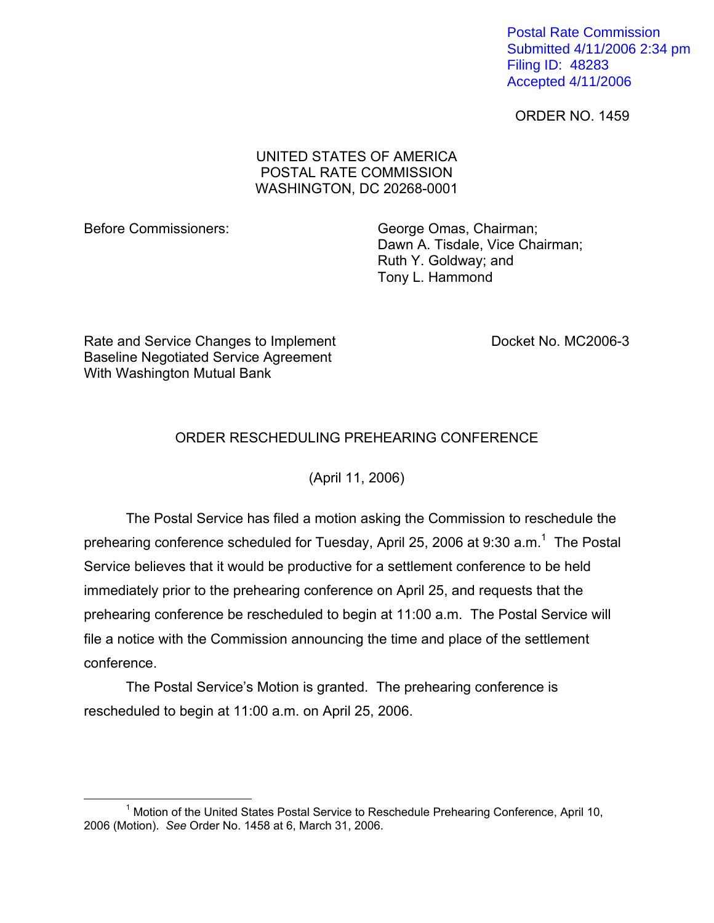Postal Rate Commission Submitted 4/11/2006 2:34 pm Filing ID: 48283 Accepted 4/11/2006

ORDER NO. 1459

## UNITED STATES OF AMERICA POSTAL RATE COMMISSION WASHINGTON, DC 20268-0001

Before Commissioners: George Omas, Chairman; Dawn A. Tisdale, Vice Chairman; Ruth Y. Goldway; and Tony L. Hammond

Rate and Service Changes to Implement Docket No. MC2006-3 Baseline Negotiated Service Agreement With Washington Mutual Bank

## ORDER RESCHEDULING PREHEARING CONFERENCE

(April 11, 2006)

The Postal Service has filed a motion asking the Commission to reschedule the prehearing conference scheduled for Tuesday, April 25, 2006 at 9:30 a.m.<sup>1</sup> The Postal Service believes that it would be productive for a settlement conference to be held immediately prior to the prehearing conference on April 25, and requests that the prehearing conference be rescheduled to begin at 11:00 a.m. The Postal Service will file a notice with the Commission announcing the time and place of the settlement conference.

The Postal Service's Motion is granted. The prehearing conference is rescheduled to begin at 11:00 a.m. on April 25, 2006.

<span id="page-0-0"></span> $\overline{\phantom{a}}$  1 <sup>1</sup> Motion of the United States Postal Service to Reschedule Prehearing Conference, April 10, 2006 (Motion). *See* Order No. 1458 at 6, March 31, 2006.